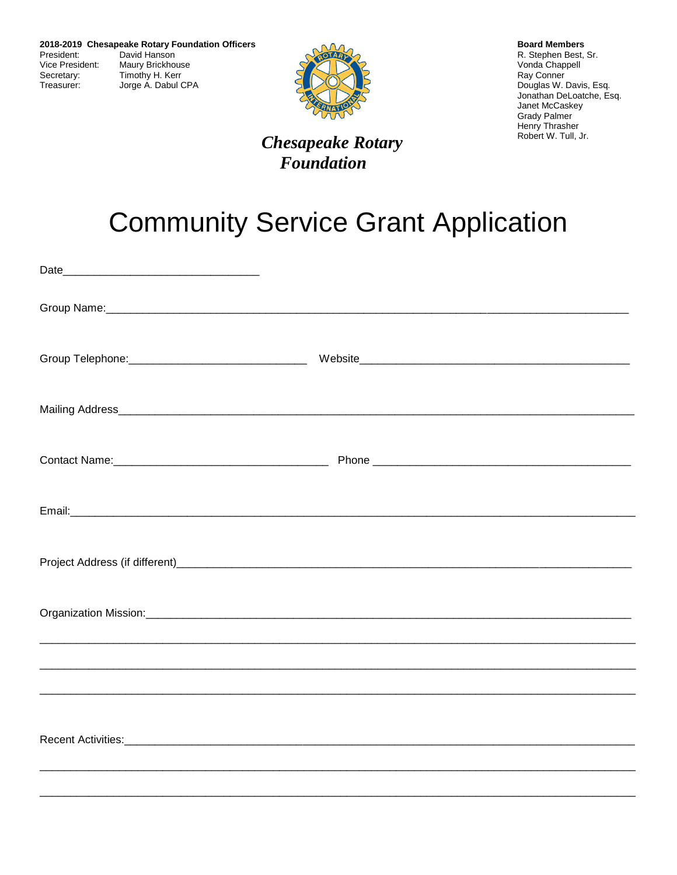

## **Chesapeake Rotary Foundation**

**Board Members** R. Stephen Best, Sr. Vonda Chappell Ray Conner Douglas W. Davis, Esq. Jonathan DeLoatche, Esq. Janet McCaskey **Grady Palmer** Henry Thrasher Robert W. Tull, Jr.

## **Community Service Grant Application**

| Project Address (if different)<br>and the contract of the contract of the contract of the contract of the contract of the contract of the contract of the contract of the contract of the contract of the contract of the contra |  |
|----------------------------------------------------------------------------------------------------------------------------------------------------------------------------------------------------------------------------------|--|
|                                                                                                                                                                                                                                  |  |
|                                                                                                                                                                                                                                  |  |
|                                                                                                                                                                                                                                  |  |
|                                                                                                                                                                                                                                  |  |
|                                                                                                                                                                                                                                  |  |